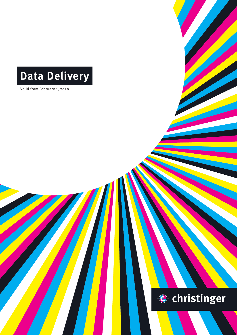## **Data Delivery**

Valid from February 1, 2020

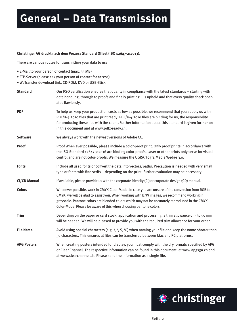### **General – Data Transmission**

#### **Christinger AG druckt nach dem Prozess Standard Offset (ISO 12647-2:2013).**

There are various routes for transmitting your data to us:

- E-Mail to your person of contact (max. 35 MB)
- FTP-Server (please ask your person of contact for access)
- WeTransfer download link, CD-ROM, DVD or USB-Stick

| <b>Standard</b>     | Our PSO certification ensures that quality in compliance with the latest standards - starting with<br>data handling, through to proofs and finally printing - is upheld and that every quality check oper-<br>ates flawlessly.                                                                                                                                          |
|---------------------|-------------------------------------------------------------------------------------------------------------------------------------------------------------------------------------------------------------------------------------------------------------------------------------------------------------------------------------------------------------------------|
| <b>PDF</b>          | To help us keep your production costs as low as possible, we recommend that you supply us with<br>PDF/X-4:2010 files that are print ready. PDF/X-4:2010 files are binding for us; the responsibility<br>for producing these lies with the client. Further information about this standard is given further on<br>in this document and at www.pdfx-ready.ch.             |
| <b>Software</b>     | We always work with the newest versions of Adobe CC.                                                                                                                                                                                                                                                                                                                    |
| <b>Proof</b>        | Proof When ever possible, please include a color-proof print. Only proof prints in accordance with<br>the ISO-Standard 12647-7:2016 are binding color-proofs. Laser or other prints only serve for visual<br>control and are not color-proofs. We measure the UGRA/Fogra Media Wedge 3.0.                                                                               |
| <b>Fonts</b>        | Include all used fonts or convert the data into vectors/paths. Precaution is needed with very small<br>type or fonts with fine serifs - depending on the print, further evaluation may be necessary.                                                                                                                                                                    |
| <b>CI/CD Manual</b> | If available, please provide us with the corporate identity (CI) or corporate design (CD) manual.                                                                                                                                                                                                                                                                       |
| <b>Colors</b>       | Whenever possible, work in CMYK-Color-Mode. In case you are unsure of the conversion from RGB to<br>CMYK, we will be glad to assist you. When working with B/W images, we recommend working in<br>grayscale. Pantone colors are blended colors which may not be accurately reproduced in the CMYK-<br>Color-Mode. Please be aware of this when choosing pantone colors. |
| <b>Trim</b>         | Depending on the paper or card stock, application and processing, a trim allowance of 3 to 50 mm<br>will be needed. We will be pleased to provide you with the required trim allowance for your order.                                                                                                                                                                  |
| <b>File Name</b>    | Avoid using special characters (e.g. /,*, \$, %) when naming your file and keep the name shorter than<br>30 characters. This ensures at files can be transferred between Mac and PC platforms.                                                                                                                                                                          |
| <b>APG Posters</b>  | When creating posters intended for display, you must comply with the dry formats specified by APG<br>or Clear Channel. The respective information can be found in this document, at www.apgsga.ch and<br>at www.clearchannel.ch. Please send the information as a single file.                                                                                          |

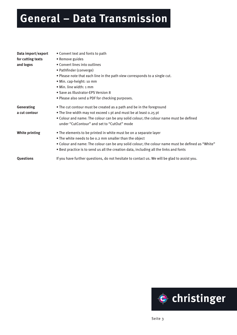## **General – Data Transmission**

| Data import/export | • Convert text and fonts to path                                                                  |
|--------------------|---------------------------------------------------------------------------------------------------|
| for cutting texts  | • Remove guides                                                                                   |
| and logos          | • Convert lines into outlines                                                                     |
|                    | • Pathfinder (converge)                                                                           |
|                    | . Please note that each line in the path view corresponds to a single cut.                        |
|                    | · Min. cap-height: 10 mm                                                                          |
|                    | • Min. line width: 1 mm                                                                           |
|                    | • Save as Illustrator-EPS Version 8                                                               |
|                    | • Please also send a PDF for checking purposes.                                                   |
| <b>Generating</b>  | • The cut contour must be created as a path and be in the foreground                              |
| a cut contour      | • The line width may not exceed 1 pt and must be at least 0.25 pt                                 |
|                    | • Colour and name: The colour can be any solid colour; the colour name must be defined            |
|                    | under "CutContour" and set to "CutOut" mode                                                       |
| White printing     | • The elements to be printed in white must be on a separate layer                                 |
|                    | • The white needs to be 0.2 mm smaller than the object                                            |
|                    | . Colour and name: The colour can be any solid colour; the colour name must be defined as "White" |
|                    | . Best practice is to send us all the creation data, including all the links and fonts            |
| Questions          | If you have further questions, do not hesitate to contact us. We will be glad to assist you.      |
|                    |                                                                                                   |

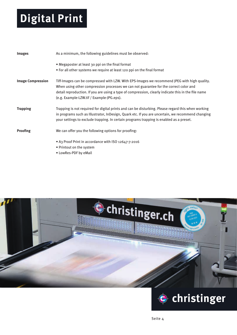# **Digital Print**

| Images                   | As a minimum, the following guidelines must be observed:                                                                                                                                                                                                                                                                                  |
|--------------------------|-------------------------------------------------------------------------------------------------------------------------------------------------------------------------------------------------------------------------------------------------------------------------------------------------------------------------------------------|
|                          | • Megaposter at least 30 ppi on the final format<br>• For all other systems we require at least 120 ppi on the final format                                                                                                                                                                                                               |
| <b>Image Compression</b> | Tiff-Images can be compressed with LZW. With EPS-Images we recommend JPEG with high quality.<br>When using other compression processes we can not guarantee for the correct color and<br>detail reproduction. If you are using a type of compression, clearly indicate this in the file name<br>(e.g. Example-LZW.tif / Example-JPG.eps). |
| <b>Trapping</b>          | Trapping is not required for digital prints and can be disturbing. Please regard this when working<br>in programs such as Illustrator, InDesign, Quark etc. If you are uncertain, we recommend changing<br>your settings to exclude trapping. In certain programs trapping is enabled as a preset.                                        |
| <b>Proofing</b>          | We can offer you the following options for proofing:                                                                                                                                                                                                                                                                                      |
|                          | • A3 Proof Print in accordance with ISO 12647-7:2016<br>• Printout on the system<br>• LowRes-PDF by eMail                                                                                                                                                                                                                                 |



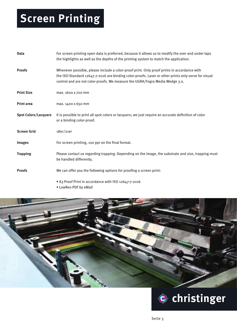# **Screen Printing**

| <b>Data</b>                 | For screen printing open data is preferred, because it allows us to modify the over and under laps<br>the highlights as well as the depths of the printing system to match the application.                                                                                        |
|-----------------------------|------------------------------------------------------------------------------------------------------------------------------------------------------------------------------------------------------------------------------------------------------------------------------------|
| <b>Proofs</b>               | Whenever possible, please include a color-proof print. Only proof prints in accordance with<br>the ISO-Standard 12647-7:2016 are binding color-proofs. Laser or other prints only serve for visual<br>control and are not color-proofs. We measure the UGRA/Fogra Media Wedge 3.0. |
| <b>Print Size</b>           | max. 1600 x 700 mm                                                                                                                                                                                                                                                                 |
| <b>Print area</b>           | max. 1400 x 650 mm                                                                                                                                                                                                                                                                 |
| <b>Spot Colors/Lacquers</b> | It is possible to print all spot colors or lacquers; we just require an accurate definition of color<br>or a binding color-proof.                                                                                                                                                  |
| <b>Screen Grid</b>          | 18er/21er                                                                                                                                                                                                                                                                          |
| <b>Images</b>               | For screen printing, 100 ppi on the final format.                                                                                                                                                                                                                                  |
| <b>Trapping</b>             | Please contact us regarding trapping. Depending on the image, the substrate and size, trapping must<br>be handled differently.                                                                                                                                                     |
| <b>Proofs</b>               | We can offer you the following options for proofing a screen print:                                                                                                                                                                                                                |
|                             | • A3 Proof Print in accordance with ISO 12647-7:2016                                                                                                                                                                                                                               |

• LowRes-PDF by eMail



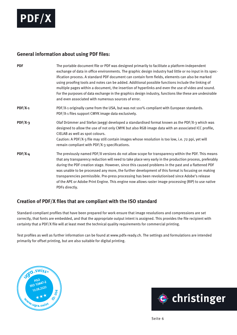

#### **General information about using PDF files:**

| <b>PDF</b> | The portable document file or PDF was designed primarily to facilitate a platform-independent<br>exchange of data in office environments. The graphic design industry had little or no input in its spec-<br>ification process. A standard PDF document can contain form fields, elements can also be marked<br>using proofing tools and notes can be added. Additional possible functions include the linking of<br>multiple pages within a document, the insertion of hyperlinks and even the use of video and sound.<br>For the purposes of data exchange in the graphics design industry, functions like these are undesirable<br>and even associated with numerous sources of error. |
|------------|-------------------------------------------------------------------------------------------------------------------------------------------------------------------------------------------------------------------------------------------------------------------------------------------------------------------------------------------------------------------------------------------------------------------------------------------------------------------------------------------------------------------------------------------------------------------------------------------------------------------------------------------------------------------------------------------|
| $PDF/X-1$  | PDF/X-1 originally came from the USA, but was not 100% compliant with European standards.<br>PDF/X-1 files support CMYK image data exclusively.                                                                                                                                                                                                                                                                                                                                                                                                                                                                                                                                           |
| $PDF/X-3$  | Olaf Drümmer and Stefan Jaeggi developed a standardised format known as the PDF/X-3 which was<br>designed to allow the use of not only CMYK but also RGB image data with an associated ICC profile,<br>CIELAB as well as spot colours.<br>Caution: A PDF/X-3 file may still contain images whose resolution is too low, i.e. 72 ppi, yet will<br>remain compliant with PDF/X-3 specifications.                                                                                                                                                                                                                                                                                            |
| $PDF/X-4$  | The previously named PDF/X versions do not allow scope for transparency within the PDF. This means<br>that any transparency reduction will need to take place very early in the production process, preferably<br>during the PDF creation stage. However, since this caused problems in the past and a flattened PDF<br>was unable to be processed any more, the further development of this format is focusing on making<br>transparencies permissible. Pre-press processing has been revolutionised since Adobe's release<br>of the APE or Adobe Print Engine. This engine now allows raster image processing (RIP) to use native<br>PDFs directly.                                     |

### **Creation of PDF/X files that are compliant with the ISO standard**

Standard-compliant profiles that have been prepared for work ensure that image resolutions and compressions are set correctly, that fonts are embedded, and that the appropriate output intent is assigned. This provides the file recipient with certainty that a PDF/X file will at least meet the technical quality requirements for commercial printing.

Test profiles as well as further information can be found at www.pdfx-ready.ch. The settings and formulations are intended primarily for offset printing, but are also suitable for digital printing.